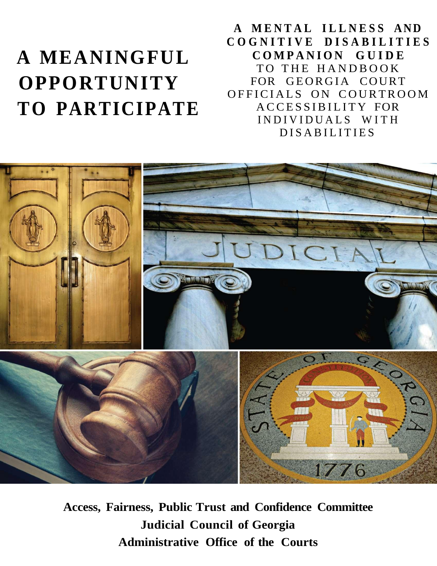# **A MEANINGFUL OPPORTUNITY TO PARTICIPATE**

A MENTAL ILLNESS AND **COGNITIV E DISABILITIE S COMPANIO N GUID E**  TO THE HANDBOOK FOR GEORGIA COURT OFFICIALS ON COURTROOM ACCESSIBILITY FOR INDIVIDUALS WITH DISABILITIE S



**Access, Fairness, Public Trust and Confidence Committee Judicial Council of Georgia Administrative Office of the Courts**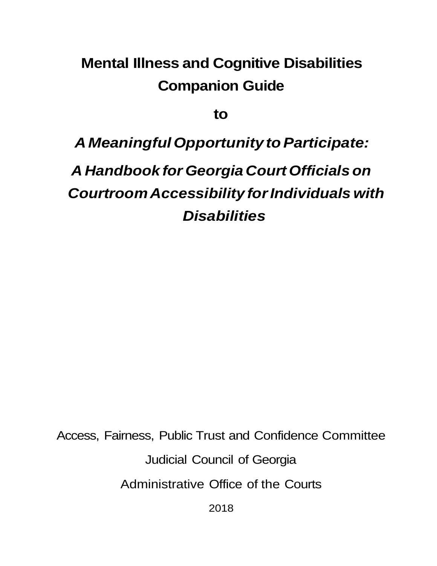# **Mental Illness and Cognitive Disabilities Companion Guide**

**to** 

**A Meaningful Opportunity to Participate: A Handbook for Georgia Court Officials on Courtroom Accessibility for Individuals with Disabilities** 

Access, Fairness, Public Trust and Confidence Committee

Judicial Council of Georgia

Administrative Office of the Courts

2018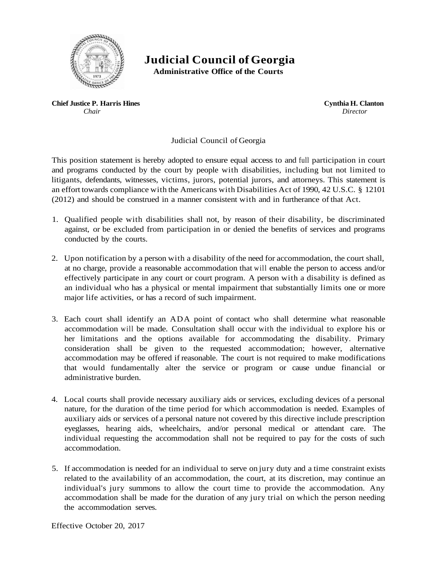

**Judicial Council of Georgia** 

**Administrative Office of the Courts** 

**Chief Justice P. Harris Hines <b>Cynthia H. Clanton Cynthia H. Clanton** *Chair Director* 

#### Judicial Council of Georgia

This position statement is hereby adopted to ensure equal access to and full participation in court and programs conducted by the court by people with disabilities, including but not limited to litigants, defendants, witnesses, victims, jurors, potential jurors, and attorneys. This statement is an effort towards compliance with the Americans with Disabilities Act of 1990, 42 U.S.C. § 12101 (2012) and should be construed in a manner consistent with and in furtherance of that Act.

- 1. Qualified people with disabilities shall not, by reason of their disability, be discriminated against, or be excluded from participation in or denied the benefits of services and programs conducted by the courts.
- 2. Upon notification by a person with a disability of the need for accommodation, the court shall, at no charge, provide a reasonable accommodation that will enable the person to access and/or effectively participate in any court or court program. A person with a disability is defined as an individual who has a physical or mental impairment that substantially limits one or more major life activities, or has a record of such impairment.
- 3. Each court shall identify an ADA point of contact who shall determine what reasonable accommodation will be made. Consultation shall occur with the individual to explore his or her limitations and the options available for accommodating the disability. Primary consideration shall be given to the requested accommodation; however, alternative accommodation may be offered if reasonable. The court is not required to make modifications that would fundamentally alter the service or program or cause undue financial or administrative burden.
- 4. Local courts shall provide necessary auxiliary aids or services, excluding devices of a personal nature, for the duration of the time period for which accommodation is needed. Examples of auxiliary aids or services of a personal nature not covered by this directive include prescription eyeglasses, hearing aids, wheelchairs, and/or personal medical or attendant care. The individual requesting the accommodation shall not be required to pay for the costs of such accommodation.
- 5. If accommodation is needed for an individual to serve on jury duty and a time constraint exists related to the availability of an accommodation, the court, at its discretion, may continue an individual's jury summons to allow the court time to provide the accommodation. Any accommodation shall be made for the duration of any jury trial on which the person needing the accommodation serves.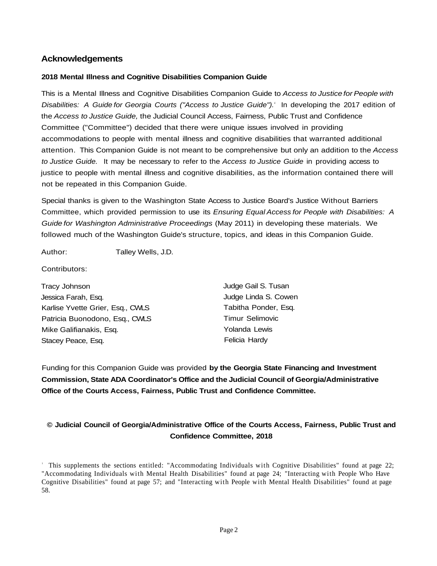#### **Acknowledgements**

#### **2018 Mental Illness and Cognitive Disabilities Companion Guide**

This is a Mental Illness and Cognitive Disabilities Companion Guide to Access to Justice for People with Disabilities: A Guide for Georgia Courts ("Access to Justice Guide").' In developing the 2017 edition of the Access to Justice Guide, the Judicial Council Access, Fairness, Public Trust and Confidence Committee ("Committee") decided that there were unique issues involved in providing accommodations to people with mental illness and cognitive disabilities that warranted additional attention. This Companion Guide is not meant to be comprehensive but only an addition to the Access to Justice Guide. It may be necessary to refer to the Access to Justice Guide in providing access to justice to people with mental illness and cognitive disabilities, as the information contained there will not be repeated in this Companion Guide.

Special thanks is given to the Washington State Access to Justice Board's Justice Without Barriers Committee, which provided permission to use its Ensuring Equal Access for People with Disabilities: A Guide for Washington Administrative Proceedings (May 2011) in developing these materials. We followed much of the Washington Guide's structure, topics, and ideas in this Companion Guide.

Author: Talley Wells, J.D.

Contributors:

Tracy Johnson Jessica Farah, Esq. Karlise Yvette Grier, Esq., CWLS Patricia Buonodono, Esq., CWLS Mike Galifianakis, Esq. Stacey Peace, Esq.

Judge Gail S. Tusan Judge Linda S. Cowen Tabitha Ponder, Esq. Timur Selimovic Yolanda Lewis Felicia Hardy

Funding for this Companion Guide was provided **by the Georgia State Financing and Investment Commission, State ADA Coordinator's Office and the Judicial Council of Georgia/Administrative Office of the Courts Access, Fairness, Public Trust and Confidence Committee.** 

### **© Judicial Council of Georgia/Administrative Office of the Courts Access, Fairness, Public Trust and Confidence Committee, 2018**

This supplements the sections entitled: "Accommodating Individuals with Cognitive Disabilities" found at page 22; 1"Accommodating Individuals with Mental Health Disabilities" found at page 24; "Interacting with People Who Have Cognitive Disabilities" found at page 57; and "Interacting with People with Mental Health Disabilities" found at page 58.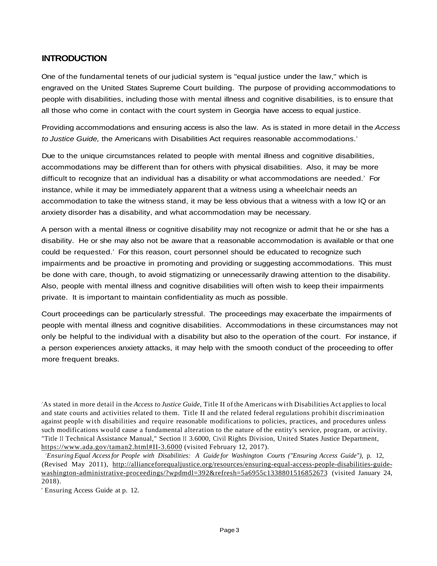#### **INTRODUCTION**

One of the fundamental tenets of our judicial system is "equal justice under the law," which is engraved on the United States Supreme Court building. The purpose of providing accommodations to people with disabilities, including those with mental illness and cognitive disabilities, is to ensure that all those who come in contact with the court system in Georgia have access to equal justice.

Providing accommodations and ensuring access is also the law. As is stated in more detail in the Access to Justice Guide, the Americans with Disabilities Act requires reasonable accommodations.<sup>2</sup>

Due to the unique circumstances related to people with mental illness and cognitive disabilities, accommodations may be different than for others with physical disabilities. Also, it may be more difficult to recognize that an individual has a disability or what accommodations are needed. For instance, while it may be immediately apparent that a witness using a wheelchair needs an accommodation to take the witness stand, it may be less obvious that a witness with a low IQ or an anxiety disorder has a disability, and what accommodation may be necessary.

A person with a mental illness or cognitive disability may not recognize or admit that he or she has a disability. He or she may also not be aware that a reasonable accommodation is available or that one could be requested. For this reason, court personnel should be educated to recognize such impairments and be proactive in promoting and providing or suggesting accommodations. This must be done with care, though, to avoid stigmatizing or unnecessarily drawing attention to the disability. Also, people with mental illness and cognitive disabilities will often wish to keep their impairments private. It is important to maintain confidentiality as much as possible.

Court proceedings can be particularly stressful. The proceedings may exacerbate the impairments of people with mental illness and cognitive disabilities. Accommodations in these circumstances may not only be helpful to the individual with a disability but also to the operation of the court. For instance, if a person experiences anxiety attacks, it may help with the smooth conduct of the proceeding to offer more frequent breaks.

<sup>2</sup>As stated in more detail in the *Access to Justice Guide*, Title II of the Americans with Disabilities Act applies to local and state courts and activities related to them. Title II and the related federal regulations prohibit discrimination against people with disabilities and require reasonable modifications to policies, practices, and procedures unless such modifications would cause a fundamental alteration to the nature of the entity's service, program, or activity. "Title II Technical Assistance Manual," Section II 3.6000, Civil Rights Division, United States Justice Department, https://www.ada.gov/taman2.html#II-3.6000 (visited February 12, 2017).

*3 Ensuring Equal Access for People with Disabilities: A Guide for Washington Courts ("Ensuring Access Guide"),* p. 12, (Revised May 2011), http://allianceforequaljustice.org/resources/ensuring-equal-access-people-disabilities-guidewashington-administrative-proceedings/?wpdmdl=392&refresh=5a6955c1338801516852673 (visited January 24, 2018). 4

Ensuring Access Guide at p. 12.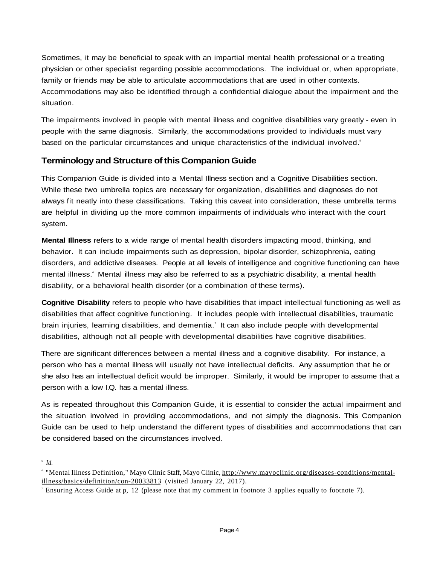Sometimes, it may be beneficial to speak with an impartial mental health professional or a treating physician or other specialist regarding possible accommodations. The individual or, when appropriate, family or friends may be able to articulate accommodations that are used in other contexts. Accommodations may also be identified through a confidential dialogue about the impairment and the situation.

The impairments involved in people with mental illness and cognitive disabilities vary greatly - even in people with the same diagnosis. Similarly, the accommodations provided to individuals must vary based on the particular circumstances and unique characteristics of the individual involved.<sup>5</sup>

### **Terminology and Structure of this Companion Guide**

This Companion Guide is divided into a Mental Illness section and a Cognitive Disabilities section. While these two umbrella topics are necessary for organization, disabilities and diagnoses do not always fit neatly into these classifications. Taking this caveat into consideration, these umbrella terms are helpful in dividing up the more common impairments of individuals who interact with the court system.

**Mental Illness** refers to a wide range of mental health disorders impacting mood, thinking, and behavior. It can include impairments such as depression, bipolar disorder, schizophrenia, eating disorders, and addictive diseases. People at all levels of intelligence and cognitive functioning can have mental illness.<sup>6</sup> Mental illness may also be referred to as a psychiatric disability, a mental health disability, or a behavioral health disorder (or a combination of these terms).

**Cognitive Disability** refers to people who have disabilities that impact intellectual functioning as well as disabilities that affect cognitive functioning. It includes people with intellectual disabilities, traumatic brain injuries, learning disabilities, and dementia.<sup>7</sup> It can also include people with developmental disabilities, although not all people with developmental disabilities have cognitive disabilities.

There are significant differences between a mental illness and a cognitive disability. For instance, a person who has a mental illness will usually not have intellectual deficits. Any assumption that he or she also has an intellectual deficit would be improper. Similarly, it would be improper to assume that a person with a low I.Q. has a mental illness.

As is repeated throughout this Companion Guide, it is essential to consider the actual impairment and the situation involved in providing accommodations, and not simply the diagnosis. This Companion Guide can be used to help understand the different types of disabilities and accommodations that can be considered based on the circumstances involved.

 $\int d$ .

<sup>e</sup> "Mental Illness Definition," Mayo Clinic Staff, Mayo Clinic, http://www.mayoclinic.org/diseases-conditions/mentalillness/basics/definition/con-20033813 (visited January 22, 2017).

<sup>7</sup> Ensuring Access Guide at p, 12 (please note that my comment in footnote 3 applies equally to footnote 7).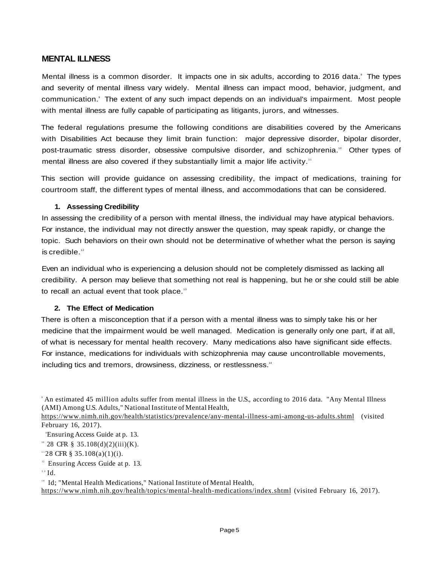#### **MENTAL ILLNESS**

Mental illness is a common disorder. It impacts one in six adults, according to 2016 data. The types and severity of mental illness vary widely. Mental illness can impact mood, behavior, judgment, and communication. The extent of any such impact depends on an individual's impairment. Most people with mental illness are fully capable of participating as litigants, jurors, and witnesses.

The federal regulations presume the following conditions are disabilities covered by the Americans with Disabilities Act because they limit brain function: major depressive disorder, bipolar disorder, post-traumatic stress disorder, obsessive compulsive disorder, and schizophrenia.<sup>®</sup> Other types of mental illness are also covered if they substantially limit a major life activity.<sup>11</sup>

This section will provide guidance on assessing credibility, the impact of medications, training for courtroom staff, the different types of mental illness, and accommodations that can be considered.

#### **1. Assessing Credibility**

In assessing the credibility of a person with mental illness, the individual may have atypical behaviors. For instance, the individual may not directly answer the question, may speak rapidly, or change the topic. Such behaviors on their own should not be determinative of whether what the person is saying is credible.<sup>12</sup>

Even an individual who is experiencing a delusion should not be completely dismissed as lacking all credibility. A person may believe that something not real is happening, but he or she could still be able to recall an actual event that took place.<sup>13</sup>

#### **2. The Effect of Medication**

There is often a misconception that if a person with a mental illness was to simply take his or her medicine that the impairment would be well managed. Medication is generally only one part, if at all, of what is necessary for mental health recovery. Many medications also have significant side effects. For instance, medications for individuals with schizophrenia may cause uncontrollable movements, including tics and tremors, drowsiness, dizziness, or restlessness.<sup>14</sup>

<sup>14</sup> Id; "Mental Health Medications," National Institute of Mental Health, <https://www.nimh.nih.gov/health/topics/mental-health-medications/index.shtml>(visited February 16, 2017).

<sup>&</sup>lt;sup>\*</sup> An estimated 45 million adults suffer from mental illness in the U.S., according to 2016 data. "Any Mental Illness (AMI) Among U.S. Adults," National Institute of Mental Health,

<https://www.nimh.nih.gov/health/statistics/prevalence/any-mental-illness-ami-among-us-adults.shtml>(visited February 16, 2017).

<sup>&#</sup>x27;Ensuring Access Guide at p. 13.

<sup>&</sup>lt;sup>10</sup> 28 CFR § 35.108(d)(2)(iii)(K).<br><sup>11</sup>28 CFR § 35.108(a)(1)(i).

 $\frac{12}{2}$  Ensuring Access Guide at p. 13.

 $13$  Id.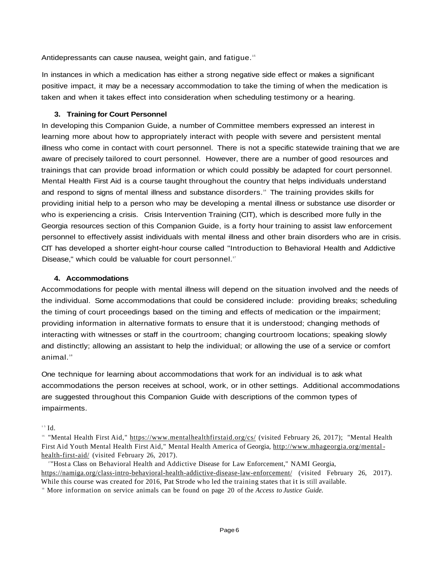Antidepressants can cause nausea, weight gain, and fatigue.<sup>15</sup>

In instances in which a medication has either a strong negative side effect or makes a significant positive impact, it may be a necessary accommodation to take the timing of when the medication is taken and when it takes effect into consideration when scheduling testimony or a hearing.

#### **3. Training for Court Personnel**

In developing this Companion Guide, a number of Committee members expressed an interest in learning more about how to appropriately interact with people with severe and persistent mental illness who come in contact with court personnel. There is not a specific statewide training that we are aware of precisely tailored to court personnel. However, there are a number of good resources and trainings that can provide broad information or which could possibly be adapted for court personnel. Mental Health First Aid is a course taught throughout the country that helps individuals understand and respond to signs of mental illness and substance disorders.<sup>16</sup> The training provides skills for providing initial help to a person who may be developing a mental illness or substance use disorder or who is experiencing a crisis. Crisis Intervention Training (CIT), which is described more fully in the Georgia resources section of this Companion Guide, is a forty hour training to assist law enforcement personnel to effectively assist individuals with mental illness and other brain disorders who are in crisis. CIT has developed a shorter eight-hour course called "Introduction to Behavioral Health and Addictive Disease," which could be valuable for court personnel.<sup>17</sup>

#### **4. Accommodations**

Accommodations for people with mental illness will depend on the situation involved and the needs of the individual. Some accommodations that could be considered include: providing breaks; scheduling the timing of court proceedings based on the timing and effects of medication or the impairment; providing information in alternative formats to ensure that it is understood; changing methods of interacting with witnesses or staff in the courtroom; changing courtroom locations; speaking slowly and distinctly; allowing an assistant to help the individual; or allowing the use of a service or comfort animal<sup>18</sup>

One technique for learning about accommodations that work for an individual is to ask what accommodations the person receives at school, work, or in other settings. Additional accommodations are suggested throughout this Companion Guide with descriptions of the common types of impairments.

 $^{\circ}$  Id.

<sup>16</sup> "Mental Health First Aid," https://www.mentalhealthfirstaid.org/cs/ (visited February 26, 2017); "Mental Health First Aid Youth Mental Health First Aid," Mental Health America of Georgia, http://www.mhageorgia.org/mental health-first-aid/ (visited February 26, 2017).

17"Host a Class on Behavioral Health and Addictive Disease for Law Enforcement," NAMI Georgia, https://namiga.org/class-intro-behavioral-health-addictive-disease-law-enforcement/ (visited February 26, 2017). While this course was created for 2016, Pat Strode who led the training states that it is still available.

More information on service animals can be found on page 20 of the *Access to Justice Guide.*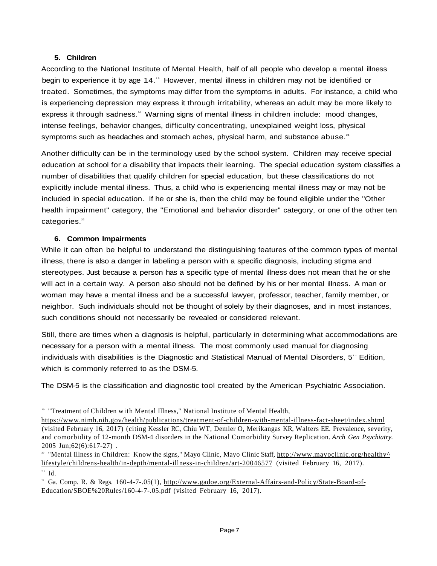#### **5. Children**

According to the National Institute of Mental Health, half of all people who develop a mental illness begin to experience it by age 14.<sup>1</sup> However, mental illness in children may not be identified or treated. Sometimes, the symptoms may differ from the symptoms in adults. For instance, a child who is experiencing depression may express it through irritability, whereas an adult may be more likely to express it through sadness.<sup>20</sup> Warning signs of mental illness in children include: mood changes, intense feelings, behavior changes, difficulty concentrating, unexplained weight loss, physical symptoms such as headaches and stomach aches, physical harm, and substance abuse.<sup>21</sup>

Another difficulty can be in the terminology used by the school system. Children may receive special education at school for a disability that impacts their learning. The special education system classifies a number of disabilities that qualify children for special education, but these classifications do not explicitly include mental illness. Thus, a child who is experiencing mental illness may or may not be included in special education. If he or she is, then the child may be found eligible under the "Other health impairment" category, the "Emotional and behavior disorder" category, or one of the other ten categories.<sup>22</sup>

#### **6. Common Impairments**

While it can often be helpful to understand the distinguishing features of the common types of mental illness, there is also a danger in labeling a person with a specific diagnosis, including stigma and stereotypes. Just because a person has a specific type of mental illness does not mean that he or she will act in a certain way. A person also should not be defined by his or her mental illness. A man or woman may have a mental illness and be a successful lawyer, professor, teacher, family member, or neighbor. Such individuals should not be thought of solely by their diagnoses, and in most instances, such conditions should not necessarily be revealed or considered relevant.

Still, there are times when a diagnosis is helpful, particularly in determining what accommodations are necessary for a person with a mental illness. The most commonly used manual for diagnosing individuals with disabilities is the Diagnostic and Statistical Manual of Mental Disorders, 5<sup>th</sup> Edition, which is commonly referred to as the DSM-5.

The DSM-5 is the classification and diagnostic tool created by the American Psychiatric Association.

<sup>9</sup> "Treatment of Children with Mental Illness," National Institute of Mental Health,

<sup>20</sup> "Mental Illness in Children: Know the signs," Mayo Clinic, Mayo Clinic Staff, http://www.mayoclinic.org/healthy<sup>1</sup> lifestyle/childrens-health/in-depth/mental-illness-in-children/art-20046577 (visited February 16, 2017).  $2^1$  Id.

<sup>22</sup> Ga. Comp. R. & Regs. 160-4-7-.05(1), http://www.gadoe.org/External-Affairs-and-Policy/State-Board-of-Education/SBOE%20Rules/160-4-7-.05.pdf (visited February 16, 2017).

https://www.nimh.nih.gov/health/publications/treatment-of-children-with-mental-illness-fact-sheet/index.shtml (visited February 16, 2017) (citing Kessler RC, Chiu WT, Demler O, Merikangas KR, Walters EE. Prevalence, severity, and comorbidity of 12-month DSM-4 disorders in the National Comorbidity Survey Replication. *Arch Gen Psychiatry.* 2005 Jun;62(6):617-27) .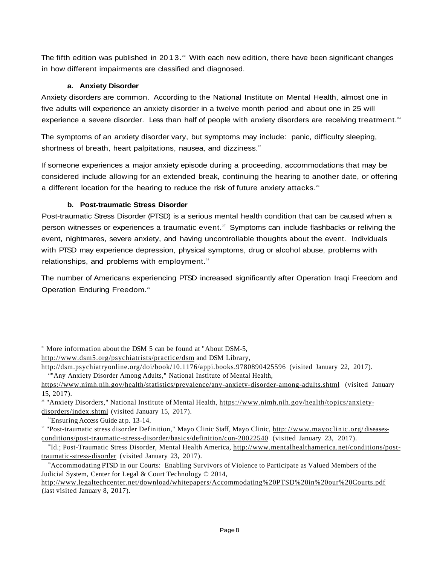The fifth edition was published in 2013.<sup>23</sup> With each new edition, there have been significant changes in how different impairments are classified and diagnosed.

#### **a. Anxiety Disorder**

Anxiety disorders are common. According to the National Institute on Mental Health, almost one in five adults will experience an anxiety disorder in a twelve month period and about one in 25 will experience a severe disorder. Less than half of people with anxiety disorders are receiving treatment.<sup>24</sup>

The symptoms of an anxiety disorder vary, but symptoms may include: panic, difficulty sleeping, shortness of breath, heart palpitations, nausea, and dizziness.<sup>25</sup>

If someone experiences a major anxiety episode during a proceeding, accommodations that may be considered include allowing for an extended break, continuing the hearing to another date, or offering a different location for the hearing to reduce the risk of future anxiety attacks.<sup>26</sup>

#### **b. Post-traumatic Stress Disorder**

Post-traumatic Stress Disorder (PTSD) is a serious mental health condition that can be caused when a person witnesses or experiences a traumatic event.<sup>27</sup> Symptoms can include flashbacks or reliving the event, nightmares, severe anxiety, and having uncontrollable thoughts about the event. Individuals with PTSD may experience depression, physical symptoms, drug or alcohol abuse, problems with relationships, and problems with employment.<sup>28</sup>

The number of Americans experiencing PTSD increased significantly after Operation Iraqi Freedom and Operation Enduring Freedom.<sup>29</sup>

<sup>23</sup> More information about the DSM 5 can be found at "About DSM-5,

http://www.dsm5.org/psychiatrists/practice/dsm and DSM Library,

http://dsm.psychiatryonline.org/doi/book/10.1176/appi.books.9780890425596 (visited January 22, 2017).<br><sup>24</sup>"Any Anxiety Disorder Among Adults," National Institute of Mental Health,

https://www.nimh.nih.gov/health/statistics/prevalence/any-anxiety-disorder-among-adults.shtml (visited January  $15, 2017$ .

 "Anxiety Disorders," National Institute of Mental Health, https://www.nimh.nih.gov/health/topics/anxietydisorders/index.shtml (visited January 15, 2017).<br>
<sup>26</sup>Ensuring Access Guide at p. 13-14.

"Post-traumatic stress disorder Definition," Mayo Clinic Staff, Mayo Clinic, http: //www.mayoclinic.org/ diseases-

conditions/post-traumatic-stress-disorder/basics/definition/con-20022540 (visited January 23, 2017).<br><sup>28</sup>Id.; Post-Traumatic Stress Disorder, Mental Health America, http://www.mentalhealthamerica.net/conditions/posttraumatic-stress-disorder (visited January 23, 2017).<br><sup>29</sup>Accommodating PTSD in our Courts: Enabling Survivors of Violence to Participate as Valued Members of the

Judicial System, Center for Legal & Court Technology © 2014,

http://www.legaltechcenter.net/download/whitepapers/Accommodating%20PTSD%20in%20our%20Courts.pdf (last visited January 8, 2017).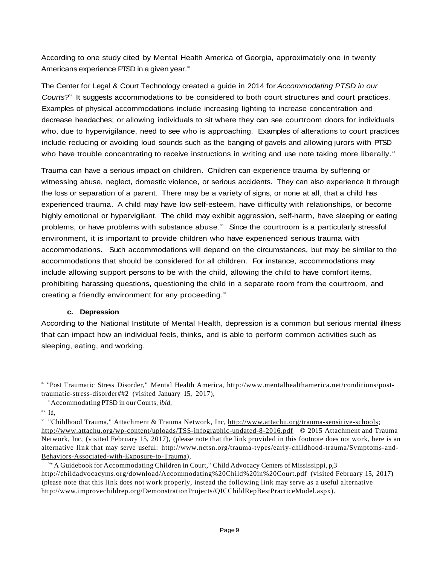According to one study cited by Mental Health America of Georgia, approximately one in twenty Americans experience PTSD in a given year.<sup>30</sup>

The Center for Legal & Court Technology created a guide in 2014 for Accommodating PTSD in our Courts?<sup>81</sup> It suggests accommodations to be considered to both court structures and court practices. Examples of physical accommodations include increasing lighting to increase concentration and decrease headaches; or allowing individuals to sit where they can see courtroom doors for individuals who, due to hypervigilance, need to see who is approaching. Examples of alterations to court practices include reducing or avoiding loud sounds such as the banging of gavels and allowing jurors with PTSD who have trouble concentrating to receive instructions in writing and use note taking more liberally.<sup>32</sup>

Trauma can have a serious impact on children. Children can experience trauma by suffering or witnessing abuse, neglect, domestic violence, or serious accidents. They can also experience it through the loss or separation of a parent. There may be a variety of signs, or none at all, that a child has experienced trauma. A child may have low self-esteem, have difficulty with relationships, or become highly emotional or hypervigilant. The child may exhibit aggression, self-harm, have sleeping or eating problems, or have problems with substance abuse.<sup>33</sup> Since the courtroom is a particularly stressful environment, it is important to provide children who have experienced serious trauma with accommodations. Such accommodations will depend on the circumstances, but may be similar to the accommodations that should be considered for all children. For instance, accommodations may include allowing support persons to be with the child, allowing the child to have comfort items, prohibiting harassing questions, questioning the child in a separate room from the courtroom, and creating a friendly environment for any proceeding.<sup>34</sup>

#### **c. Depression**

According to the National Institute of Mental Health, depression is a common but serious mental illness that can impact how an individual feels, thinks, and is able to perform common activities such as sleeping, eating, and working.

http://childadvocacyms.org/download/Accommodating%20Child%20in%20Court.pdf (visited February 15, 2017) (please note that this link does not work properly, instead the following link may serve as a useful alternative http://www.improvechildrep.org/DemonstrationProjects/QICChildRepBestPracticeModel.aspx).

<sup>&</sup>lt;sup>30</sup> "Post Traumatic Stress Disorder," Mental Health America, http://www.mentalhealthamerica.net/conditions/posttraumatic-stress-disorder##2 (visited January 15, 2017), <sup>31</sup>Accommodating PTSD in our Courts, *ibid*,

 $^{32}$  Id,<br> $^{33}$   $^{11}$ Cl

<sup>&</sup>lt;sup>33</sup> "Childhood Trauma," Attachment & Trauma Network, Inc, http://www.attachu.org/trauma-sensitive-schools; http://www.attachu.org/wp-content/uploads/TSS-infographic-updated-8-2016.pdf © 2015 Attachment and Trauma Network, Inc, (visited February 15, 2017), (please note that the link provided in this footnote does not work, here is an alternative link that may serve useful: http://www.nctsn.org/trauma-types/early-childhood-trauma/Symptoms-and-Behaviors-Associated-with-Exposure-to-Trauma),<br><sup>34</sup>"A Guidebook for Accommodating Children in Court," Child Advocacy Centers of Mississippi, p,3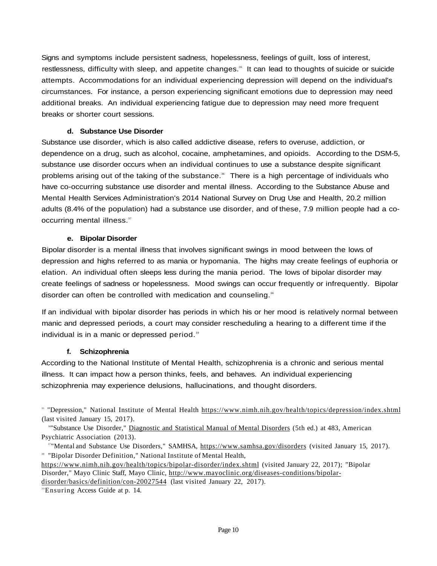Signs and symptoms include persistent sadness, hopelessness, feelings of guilt, loss of interest, restlessness, difficulty with sleep, and appetite changes.<sup>35</sup> It can lead to thoughts of suicide or suicide attempts. Accommodations for an individual experiencing depression will depend on the individual's circumstances. For instance, a person experiencing significant emotions due to depression may need additional breaks. An individual experiencing fatigue due to depression may need more frequent breaks or shorter court sessions.

#### **d. Substance Use Disorder**

Substance use disorder, which is also called addictive disease, refers to overuse, addiction, or dependence on a drug, such as alcohol, cocaine, amphetamines, and opioids. According to the DSM-5, substance use disorder occurs when an individual continues to use a substance despite significant problems arising out of the taking of the substance.<sup>36</sup> There is a high percentage of individuals who have co-occurring substance use disorder and mental illness. According to the Substance Abuse and Mental Health Services Administration's 2014 National Survey on Drug Use and Health, 20.2 million adults (8.4% of the population) had a substance use disorder, and of these, 7.9 million people had a cooccurring mental illness.<sup>37</sup>

#### **e. Bipolar Disorder**

Bipolar disorder is a mental illness that involves significant swings in mood between the lows of depression and highs referred to as mania or hypomania. The highs may create feelings of euphoria or elation. An individual often sleeps less during the mania period. The lows of bipolar disorder may create feelings of sadness or hopelessness. Mood swings can occur frequently or infrequently. Bipolar disorder can often be controlled with medication and counseling.<sup>38</sup>

If an individual with bipolar disorder has periods in which his or her mood is relatively normal between manic and depressed periods, a court may consider rescheduling a hearing to a different time if the individual is in a manic or depressed period.<sup>39</sup>

#### **f. Schizophrenia**

According to the National Institute of Mental Health, schizophrenia is a chronic and serious mental illness. It can impact how a person thinks, feels, and behaves. An individual experiencing schizophrenia may experience delusions, hallucinations, and thought disorders.

<sup>35</sup> "Depression," National Institute of Mental Health https://www.nimh.nih.gov/health/topics/depression/index.shtml (last visited January 15, 2017).<br><sup>36</sup>"Substance Use Disorder," Diagnostic and Statistical Manual of Mental Disorders (5th ed.) at 483, American

Psychiatric Association (2013).<br><sup>37</sup>"Mental and Substance Use Disorders," SAMHSA, https://www.samhsa.gov/disorders (visited January 15, 2017). "Bipolar Disorder Definition," National Institute of Mental Health,

https://www.nimh.nih.gov/health/topics/bipolar-disorder/index.shtml (visited January 22, 2017); "Bipolar Disorder," Mayo Clinic Staff, Mayo Clinic, http://www.mayoclinic.org/diseases-conditions/bipolardisorder/basics/definition/con-20027544 (last visited January 22, 2017).<br>"Ensuring Access Guide at p. 14.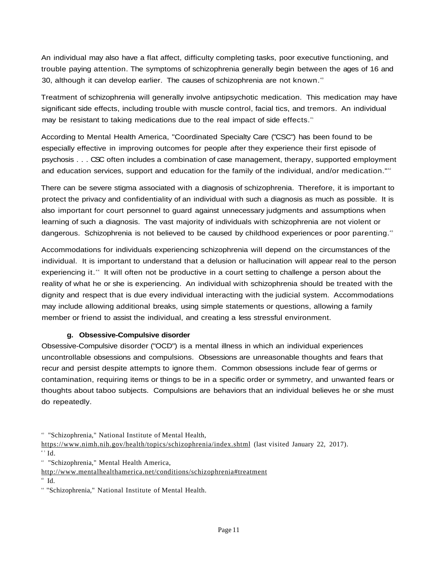An individual may also have a flat affect, difficulty completing tasks, poor executive functioning, and trouble paying attention. The symptoms of schizophrenia generally begin between the ages of 16 and 30, although it can develop earlier. The causes of schizophrenia are not known.<sup>40</sup>

Treatment of schizophrenia will generally involve antipsychotic medication. This medication may have significant side effects, including trouble with muscle control, facial tics, and tremors. An individual may be resistant to taking medications due to the real impact of side effects.<sup>41</sup>

According to Mental Health America, "Coordinated Specialty Care ("CSC") has been found to be especially effective in improving outcomes for people after they experience their first episode of psychosis . . . CSC often includes a combination of case management, therapy, supported employment and education services, support and education for the family of the individual, and/or medication."<sup>42</sup>

There can be severe stigma associated with a diagnosis of schizophrenia. Therefore, it is important to protect the privacy and confidentiality of an individual with such a diagnosis as much as possible. It is also important for court personnel to guard against unnecessary judgments and assumptions when learning of such a diagnosis. The vast majority of individuals with schizophrenia are not violent or dangerous. Schizophrenia is not believed to be caused by childhood experiences or poor parenting.<sup>43</sup>

Accommodations for individuals experiencing schizophrenia will depend on the circumstances of the individual. It is important to understand that a delusion or hallucination will appear real to the person experiencing it.<sup>44</sup> It will often not be productive in a court setting to challenge a person about the reality of what he or she is experiencing. An individual with schizophrenia should be treated with the dignity and respect that is due every individual interacting with the judicial system. Accommodations may include allowing additional breaks, using simple statements or questions, allowing a family member or friend to assist the individual, and creating a less stressful environment.

#### **g. Obsessive-Compulsive disorder**

Obsessive-Compulsive disorder ("OCD") is a mental illness in which an individual experiences uncontrollable obsessions and compulsions. Obsessions are unreasonable thoughts and fears that recur and persist despite attempts to ignore them. Common obsessions include fear of germs or contamination, requiring items or things to be in a specific order or symmetry, and unwanted fears or thoughts about taboo subjects. Compulsions are behaviors that an individual believes he or she must do repeatedly.

 $41$  Id.

http://www.mentalhealthamerica.net/conditions/schizophrenia#treatment

43 Id.

<sup>&</sup>lt;sup>40</sup> "Schizophrenia," National Institute of Mental Health,

https://www.nimh.nih.gov/health/topics/schizophrenia/index.shtml (last visited January 22, 2017).

<sup>&</sup>lt;sup>42</sup> "Schizophrenia," Mental Health America,

<sup>&</sup>lt;sup>44</sup> "Schizophrenia," National Institute of Mental Health.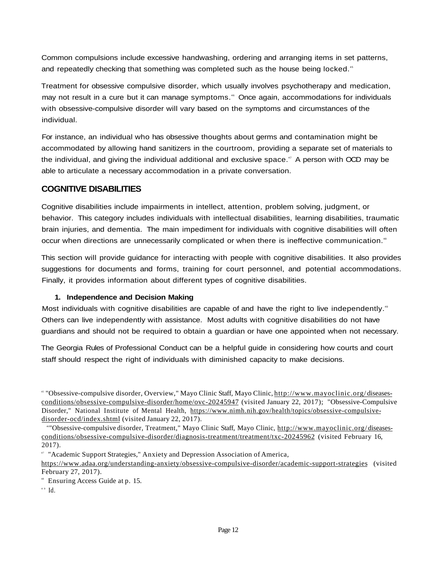Common compulsions include excessive handwashing, ordering and arranging items in set patterns, and repeatedly checking that something was completed such as the house being locked.<sup>45</sup>

Treatment for obsessive compulsive disorder, which usually involves psychotherapy and medication, may not result in a cure but it can manage symptoms.<sup>46</sup> Once again, accommodations for individuals with obsessive-compulsive disorder will vary based on the symptoms and circumstances of the individual.

For instance, an individual who has obsessive thoughts about germs and contamination might be accommodated by allowing hand sanitizers in the courtroom, providing a separate set of materials to the individual, and giving the individual additional and exclusive space.<sup>47</sup> A person with OCD may be able to articulate a necessary accommodation in a private conversation.

#### **COGNITIVE DISABILITIES**

Cognitive disabilities include impairments in intellect, attention, problem solving, judgment, or behavior. This category includes individuals with intellectual disabilities, learning disabilities, traumatic brain injuries, and dementia. The main impediment for individuals with cognitive disabilities will often occur when directions are unnecessarily complicated or when there is ineffective communication.<sup>48</sup>

This section will provide guidance for interacting with people with cognitive disabilities. It also provides suggestions for documents and forms, training for court personnel, and potential accommodations. Finally, it provides information about different types of cognitive disabilities.

#### **1. Independence and Decision Making**

Most individuals with cognitive disabilities are capable of and have the right to live independently.<sup>49</sup> Others can live independently with assistance. Most adults with cognitive disabilities do not have guardians and should not be required to obtain a guardian or have one appointed when not necessary.

The Georgia Rules of Professional Conduct can be a helpful guide in considering how courts and court staff should respect the right of individuals with diminished capacity to make decisions.

<sup>&</sup>lt;sup>45</sup> "Obsessive-compulsive disorder, Overview," Mayo Clinic Staff, Mayo Clinic, http://www.mayoclinic.org/diseasesconditions/obsessive-compulsive-disorder/home/ovc-20245947 (visited January 22, 2017); "Obsessive-Compulsive Disorder," National Institute of Mental Health, https://www.nimh.nih.gov/health/topics/obsessive-compulsivedisorder-ocd/index.shtml (visited January 22, 2017).<br>
""Obsessive-compulsive disorder, Treatment," Mayo Clinic Staff, Mayo Clinic, http://www.mayoclinic.org/ diseases-

conditions/obsessive-compulsive-disorder/diagnosis-treatment/treatment/txc-20245962 (visited February 16,  $2017$ ).

 <sup>&</sup>quot;Academic Support Strategies," Anxiety and Depression Association of America,

https://www.adaa.org/understanding-anxiety/obsessive-compulsive-disorder/academic-support-strategies (visited February 27, 2017).

 $\frac{48}{15}$  Ensuring Access Guide at p. 15.

 $49$  Id.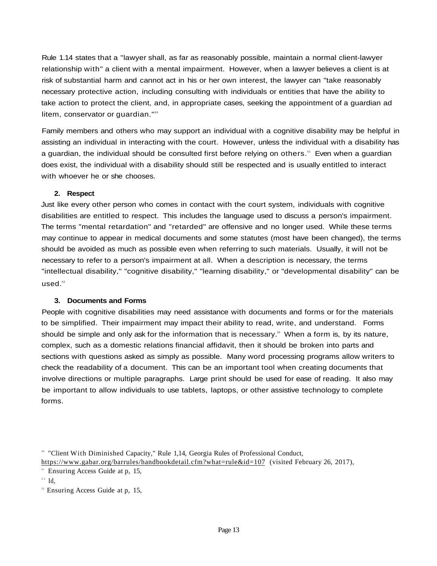Rule 1.14 states that a "lawyer shall, as far as reasonably possible, maintain a normal client-lawyer relationship with" a client with a mental impairment. However, when a lawyer believes a client is at risk of substantial harm and cannot act in his or her own interest, the lawyer can "take reasonably necessary protective action, including consulting with individuals or entities that have the ability to take action to protect the client, and, in appropriate cases, seeking the appointment of a guardian ad litem, conservator or guardian."<sup>50</sup>

Family members and others who may support an individual with a cognitive disability may be helpful in assisting an individual in interacting with the court. However, unless the individual with a disability has a guardian, the individual should be consulted first before relying on others.<sup>51</sup> Even when a guardian does exist, the individual with a disability should still be respected and is usually entitled to interact with whoever he or she chooses.

#### **2. Respect**

Just like every other person who comes in contact with the court system, individuals with cognitive disabilities are entitled to respect. This includes the language used to discuss a person's impairment. The terms "mental retardation" and "retarded" are offensive and no longer used. While these terms may continue to appear in medical documents and some statutes (most have been changed), the terms should be avoided as much as possible even when referring to such materials. Usually, it will not be necessary to refer to a person's impairment at all. When a description is necessary, the terms "intellectual disability," "cognitive disability," "learning disability," or "developmental disability" can be  $used.<sup>52</sup>$ 

#### **3. Documents and Forms**

People with cognitive disabilities may need assistance with documents and forms or for the materials to be simplified. Their impairment may impact their ability to read, write, and understand. Forms should be simple and only ask for the information that is necessary.<sup>88</sup> When a form is, by its nature, complex, such as a domestic relations financial affidavit, then it should be broken into parts and sections with questions asked as simply as possible. Many word processing programs allow writers to check the readability of a document. This can be an important tool when creating documents that involve directions or multiple paragraphs. Large print should be used for ease of reading. It also may be important to allow individuals to use tablets, laptops, or other assistive technology to complete forms.

<sup>&</sup>lt;sup>50</sup> "Client With Diminished Capacity," Rule 1,14, Georgia Rules of Professional Conduct,

https://www.gabar.org/barrules/handbookdetail.cfm?what=rule&id=107 (visited February 26, 2017),

<sup>51</sup> Ensuring Access Guide at p, 15,

 $52$  Id,

<sup>&</sup>lt;sup>53</sup> Ensuring Access Guide at p, 15,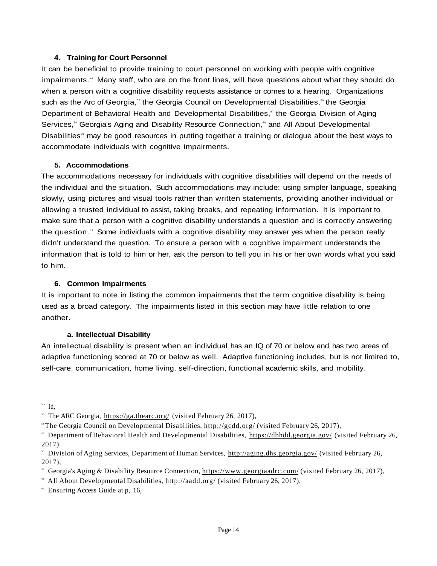#### **4. Training for Court Personnel**

It can be beneficial to provide training to court personnel on working with people with cognitive impairments.<sup>54</sup> Many staff, who are on the front lines, will have questions about what they should do when a person with a cognitive disability requests assistance or comes to a hearing. Organizations such as the Arc of Georgia,<sup>56</sup> the Georgia Council on Developmental Disabilities,<sup>56</sup> the Georgia Department of Behavioral Health and Developmental Disabilities,<sup>57</sup> the Georgia Division of Aging Services,<sup>®</sup> Georgia's Aging and Disability Resource Connection,<sup>®</sup> and All About Developmental Disabilities<sup>®</sup> may be good resources in putting together a training or dialogue about the best ways to accommodate individuals with cognitive impairments.

#### **5. Accommodations**

The accommodations necessary for individuals with cognitive disabilities will depend on the needs of the individual and the situation. Such accommodations may include: using simpler language, speaking slowly, using pictures and visual tools rather than written statements, providing another individual or allowing a trusted individual to assist, taking breaks, and repeating information. It is important to make sure that a person with a cognitive disability understands a question and is correctly answering the question.<sup>61</sup> Some individuals with a cognitive disability may answer yes when the person really didn't understand the question. To ensure a person with a cognitive impairment understands the information that is told to him or her, ask the person to tell you in his or her own words what you said to him.

#### **6. Common Impairments**

It is important to note in listing the common impairments that the term cognitive disability is being used as a broad category. The impairments listed in this section may have little relation to one another.

#### **a. Intellectual Disability**

An intellectual disability is present when an individual has an IQ of 70 or below and has two areas of adaptive functioning scored at 70 or below as well. Adaptive functioning includes, but is not limited to, self-care, communication, home living, self-direction, functional academic skills, and mobility.

 $54$  Id,

<sup>55</sup> The ARC Georgia, https://ga.thearc.org/ (visited February 26, 2017),

<sup>56</sup>The Georgia Council on Developmental Disabilities, http://gcdd.org/ (visited February 26, 2017),

<sup>57</sup> Department of Behavioral Health and Developmental Disabilities, https://dbhdd.georgia.gov/ (visited February 26, 2017).

<sup>58</sup> Division of Aging Services, Department of Human Services, http://aging.dhs.georgia.gov/ (visited February 26, 2017),

<sup>59</sup> Georgia's Aging & Disability Resource Connection, https://www.georgiaadrc.com/ (visited February 26, 2017),

<sup>®</sup> All About Developmental Disabilities, http://aadd.org/ (visited February 26, 2017),

<sup>61</sup> Ensuring Access Guide at p, 16,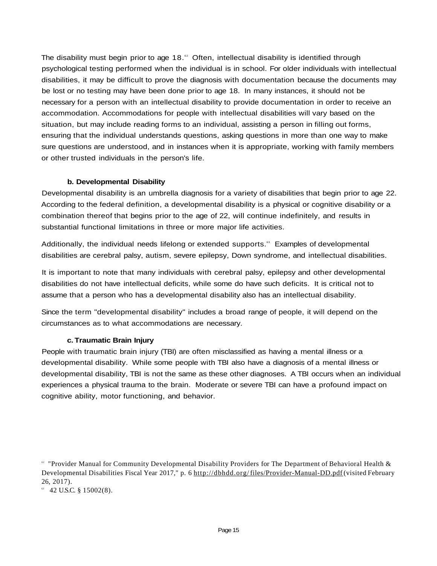The disability must begin prior to age 18.<sup>82</sup> Often, intellectual disability is identified through psychological testing performed when the individual is in school. For older individuals with intellectual disabilities, it may be difficult to prove the diagnosis with documentation because the documents may be lost or no testing may have been done prior to age 18. In many instances, it should not be necessary for a person with an intellectual disability to provide documentation in order to receive an accommodation. Accommodations for people with intellectual disabilities will vary based on the situation, but may include reading forms to an individual, assisting a person in filling out forms, ensuring that the individual understands questions, asking questions in more than one way to make sure questions are understood, and in instances when it is appropriate, working with family members or other trusted individuals in the person's life.

#### **b. Developmental Disability**

Developmental disability is an umbrella diagnosis for a variety of disabilities that begin prior to age 22. According to the federal definition, a developmental disability is a physical or cognitive disability or a combination thereof that begins prior to the age of 22, will continue indefinitely, and results in substantial functional limitations in three or more major life activities.

Additionally, the individual needs lifelong or extended supports.<sup>63</sup> Examples of developmental disabilities are cerebral palsy, autism, severe epilepsy, Down syndrome, and intellectual disabilities.

It is important to note that many individuals with cerebral palsy, epilepsy and other developmental disabilities do not have intellectual deficits, while some do have such deficits. It is critical not to assume that a person who has a developmental disability also has an intellectual disability.

Since the term "developmental disability" includes a broad range of people, it will depend on the circumstances as to what accommodations are necessary.

#### **c. Traumatic Brain Injury**

People with traumatic brain injury (TBI) are often misclassified as having a mental illness or a developmental disability. While some people with TBI also have a diagnosis of a mental illness or developmental disability, TBI is not the same as these other diagnoses. A TBI occurs when an individual experiences a physical trauma to the brain. Moderate or severe TBI can have a profound impact on cognitive ability, motor functioning, and behavior.

 $^{\circ}$  "Provider Manual for Community Developmental Disability Providers for The Department of Behavioral Health  $\&$ Developmental Disabilities Fiscal Year 2017," p. 6 http://dbhdd.org/files/Provider-Manual-DD.pdf (visited February 26, 2017).

 $42$  U.S.C. § 15002(8).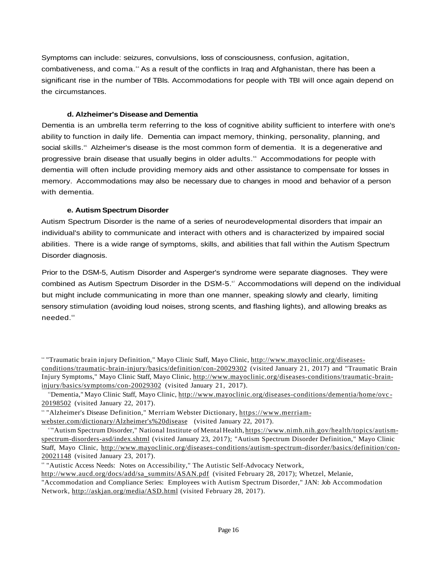Symptoms can include: seizures, convulsions, loss of consciousness, confusion, agitation, combativeness, and coma.<sup>64</sup> As a result of the conflicts in Iraq and Afghanistan, there has been a significant rise in the number of TBIs. Accommodations for people with TBI will once again depend on the circumstances.

#### **d. Alzheimer's Disease and Dementia**

Dementia is an umbrella term referring to the loss of cognitive ability sufficient to interfere with one's ability to function in daily life. Dementia can impact memory, thinking, personality, planning, and social skills.<sup>66</sup> Alzheimer's disease is the most common form of dementia. It is a degenerative and progressive brain disease that usually begins in older adults.<sup>66</sup> Accommodations for people with dementia will often include providing memory aids and other assistance to compensate for losses in memory. Accommodations may also be necessary due to changes in mood and behavior of a person with dementia.

#### **e. Autism Spectrum Disorder**

Autism Spectrum Disorder is the name of a series of neurodevelopmental disorders that impair an individual's ability to communicate and interact with others and is characterized by impaired social abilities. There is a wide range of symptoms, skills, and abilities that fall within the Autism Spectrum Disorder diagnosis.

Prior to the DSM-5, Autism Disorder and Asperger's syndrome were separate diagnoses. They were combined as Autism Spectrum Disorder in the DSM-5.<sup>67</sup> Accommodations will depend on the individual but might include communicating in more than one manner, speaking slowly and clearly, limiting sensory stimulation (avoiding loud noises, strong scents, and flashing lights), and allowing breaks as needed.<sup>68</sup>

<sup>&</sup>lt;sup>64</sup> "Traumatic brain injury Definition," Mayo Clinic Staff, Mayo Clinic, http://www.mayoclinic.org/diseasesconditions/traumatic-brain-injury/basics/definition/con-20029302 (visited January 21, 2017) and "Traumatic Brain Injury Symptoms," Mayo Clinic Staff, Mayo Clinic, http://www.mayoclinic.org/diseases-conditions/traumatic-braininjury/basics/symptoms/con-20029302 (visited January 21, 2017).<br>6. Dementia," Mayo Clinic Staff, Mayo Clinic, http://www.mayoclinic.org/diseases-conditions/dementia/home/ovc-

<sup>20198502 (</sup>visited January 22, 2017).

<sup>&</sup>lt;sup>\*\*</sup> "Alzheimer's Disease Definition," Merriam Webster Dictionary, https://www.merriam-

webster.com/dictionary/Alzheimer's%20disease (visited January 22, 2017).<br><sup>67</sup>"Autism Spectrum Disorder," National Institute of Mental Health, https://www.nimh.nih.gov/health/topics/autismspectrum-disorders-asd/index.shtml (visited January 23, 2017); "Autism Spectrum Disorder Definition," Mayo Clinic Staff, Mayo Clinic, http://www.mayoclinic.org/diseases-conditions/autism-spectrum-disorder/basics/definition/con-20021148 (visited January 23, 2017).

 <sup>&</sup>quot;Autistic Access Needs: Notes on Accessibility," The Autistic Self-Advocacy Network,

http://www.aucd.org/docs/add/sa\_summits/ASAN.pdf (visited February 28, 2017); Whetzel, Melanie,

<sup>&</sup>quot;Accommodation and Compliance Series: Employees with Autism Spectrum Disorder," JAN: Job Accommodation Network, http://askjan.org/media/ASD.html (visited February 28, 2017).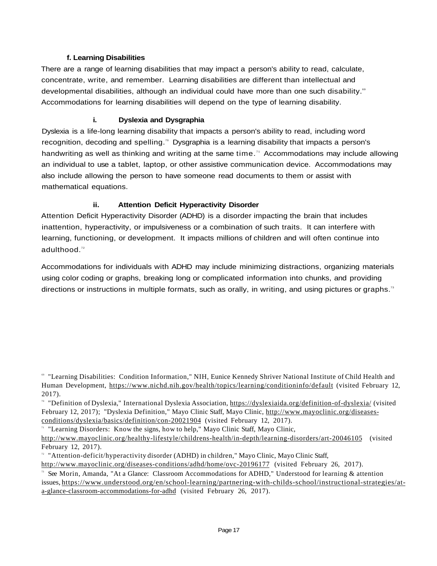#### **f. Learning Disabilities**

There are a range of learning disabilities that may impact a person's ability to read, calculate, concentrate, write, and remember. Learning disabilities are different than intellectual and developmental disabilities, although an individual could have more than one such disability.<sup>69</sup> Accommodations for learning disabilities will depend on the type of learning disability.

#### **i. Dyslexia and Dysgraphia**

Dyslexia is a life-long learning disability that impacts a person's ability to read, including word recognition, decoding and spelling.<sup>70</sup> Dysgraphia is a learning disability that impacts a person's handwriting as well as thinking and writing at the same time.<sup>71</sup> Accommodations may include allowing an individual to use a tablet, laptop, or other assistive communication device. Accommodations may also include allowing the person to have someone read documents to them or assist with mathematical equations.

#### **ii. Attention Deficit Hyperactivity Disorder**

Attention Deficit Hyperactivity Disorder (ADHD) is a disorder impacting the brain that includes inattention, hyperactivity, or impulsiveness or a combination of such traits. It can interfere with learning, functioning, or development. It impacts millions of children and will often continue into adulthood.<sup>72</sup>

Accommodations for individuals with ADHD may include minimizing distractions, organizing materials using color coding or graphs, breaking long or complicated information into chunks, and providing directions or instructions in multiple formats, such as orally, in writing, and using pictures or graphs.<sup>73</sup>

<sup>69</sup> "Learning Disabilities: Condition Information," NIH, Eunice Kennedy Shriver National Institute of Child Health and Human Development, https://www.nichd.nih.gov/health/topics/learning/conditioninfo/default (visited February 12, 2017).

<sup>&</sup>lt;sup>70</sup> "Definition of Dyslexia," International Dyslexia Association, https://dyslexiaida.org/definition-of-dyslexia/ (visited February 12, 2017); "Dyslexia Definition," Mayo Clinic Staff, Mayo Clinic, http://www.mayoclinic.org/diseasesconditions/dyslexia/basics/definition/con-20021904 (visited February 12, 2017).

<sup>&</sup>lt;sup>71</sup> "Learning Disorders: Know the signs, how to help," Mayo Clinic Staff, Mayo Clinic,

http://www.mayoclinic.org/healthy-lifestyle/childrens-health/in-depth/learning-disorders/art-20046105 (visited February 12, 2017).

<sup>&</sup>lt;sup>22</sup> "Attention-deficit/hyperactivity disorder (ADHD) in children," Mayo Clinic, Mayo Clinic Staff,

http://www.mayoclinic.org/diseases-conditions/adhd/home/ovc-20196177 (visited February 26, 2017).

<sup>&</sup>lt;sup>33</sup> See Morin, Amanda, "At a Glance: Classroom Accommodations for ADHD," Understood for learning & attention issues, https://www.understood.org/en/school-learning/partnering-with-childs-school/instructional-strategies/ata-glance-classroom-accommodations-for-adhd (visited February 26, 2017).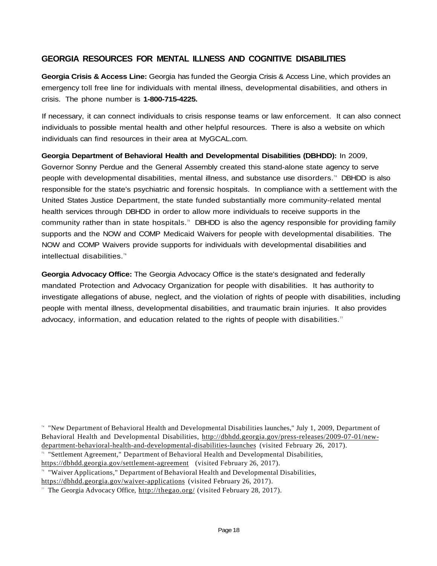### **GEORGIA RESOURCES FOR MENTAL ILLNESS AND COGNITIVE DISABILITIES**

**Georgia Crisis & Access Line:** Georgia has funded the Georgia Crisis & Access Line, which provides an emergency toll free line for individuals with mental illness, developmental disabilities, and others in crisis. The phone number is **1-800-715-4225.** 

If necessary, it can connect individuals to crisis response teams or law enforcement. It can also connect individuals to possible mental health and other helpful resources. There is also a website on which individuals can find resources in their area at MyGCAL.com.

**Georgia Department of Behavioral Health and Developmental Disabilities (DBHDD):** In 2009, Governor Sonny Perdue and the General Assembly created this stand-alone state agency to serve people with developmental disabilities, mental illness, and substance use disorders.<sup>74</sup> DBHDD is also responsible for the state's psychiatric and forensic hospitals. In compliance with a settlement with the United States Justice Department, the state funded substantially more community-related mental health services through DBHDD in order to allow more individuals to receive supports in the community rather than in state hospitals.<sup>75</sup> DBHDD is also the agency responsible for providing family supports and the NOW and COMP Medicaid Waivers for people with developmental disabilities. The NOW and COMP Waivers provide supports for individuals with developmental disabilities and intellectual disabilities.<sup>76</sup>

**Georgia Advocacy Office:** The Georgia Advocacy Office is the state's designated and federally mandated Protection and Advocacy Organization for people with disabilities. It has authority to investigate allegations of abuse, neglect, and the violation of rights of people with disabilities, including people with mental illness, developmental disabilities, and traumatic brain injuries. It also provides advocacy, information, and education related to the rights of people with disabilities."

<sup>74</sup> "New Department of Behavioral Health and Developmental Disabilities launches," July 1, 2009, Department of Behavioral Health and Developmental Disabilities, http://dbhdd.georgia.gov/press-releases/2009-07-01/newdepartment-behavioral-health-and-developmental-disabilities-launches (visited February 26, 2017).

- <sup>3</sup> "Settlement Agreement," Department of Behavioral Health and Developmental Disabilities, https://dbhdd.georgia.gov/settlement-agreement (visited February 26, 2017).
- <sup>76</sup> "Waiver Applications," Department of Behavioral Health and Developmental Disabilities,

https://dbhdd.georgia.gov/waiver-applications (visited February 26, 2017).

<sup>&</sup>lt;sup>77</sup> The Georgia Advocacy Office,  $\frac{http://thegao.org/}{http://thegao.org/}$  (visited February 28, 2017).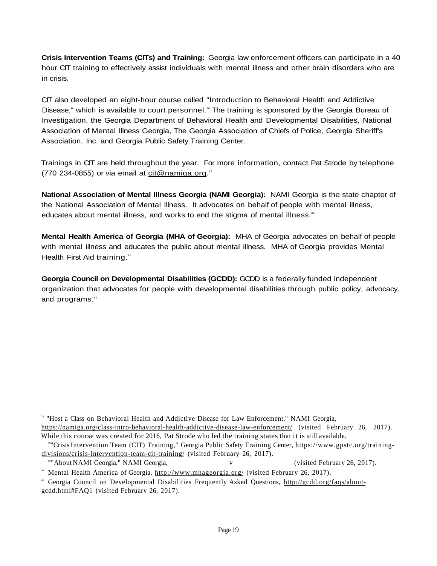**Crisis Intervention Teams (CITs) and Training:** Georgia law enforcement officers can participate in a 40 hour CIT training to effectively assist individuals with mental illness and other brain disorders who are in crisis.

CIT also developed an eight-hour course called "Introduction to Behavioral Health and Addictive Disease," which is available to court personnel.<sup>78</sup> The training is sponsored by the Georgia Bureau of Investigation, the Georgia Department of Behavioral Health and Developmental Disabilities, National Association of Mental Illness Georgia, The Georgia Association of Chiefs of Police, Georgia Sheriff's Association, Inc. and Georgia Public Safety Training Center.

Trainings in CIT are held throughout the year. For more information, contact Pat Strode by telephone (770 234-0855) or via email at [cit@namiga.org.](mailto:cit@namiga.org)<sup>79</sup>

**National Association of Mental Illness Georgia (NAMI Georgia):** NAMI Georgia is the state chapter of the National Association of Mental Illness. It advocates on behalf of people with mental illness, educates about mental illness, and works to end the stigma of mental illness.<sup>80</sup>

**Mental Health America of Georgia (MHA of Georgia):** MHA of Georgia advocates on behalf of people with mental illness and educates the public about mental illness. MHA of Georgia provides Mental Health First Aid training.<sup>81</sup>

**Georgia Council on Developmental Disabilities (GCDD):** GCDD is a federally funded independent organization that advocates for people with developmental disabilities through public policy, advocacy, and programs.<sup>82</sup>

<sup>38</sup> "Host a Class on Behavioral Health and Addictive Disease for Law Enforcement," NAMI Georgia, https://namiga.org/class-intro-behavioral-health-addictive-disease-law-enforcement/ (visited February 26, 2017).

While this course was created for 2016, Pat Strode who led the training states that it is still available.<br><sup>79</sup>"Crisis Intervention Team (CIT) Training," Georgia Public Safety Training Center, https://www.gpstc.org/trainin divisions/crisis-intervention-team-cit-training/ (visited February 26, 2017).<br><sup>80</sup>"About NAMI Georgia," NAMI Georgia, v v (visited February 26, 2017).

<sup>31</sup> Mental Health America of Georgia, http://www.mhageorgia.org/ (visited February 26, 2017).

<sup>82</sup> Georgia Council on Developmental Disabilities Frequently Asked Questions, http://gcdd.org/faqs/aboutgcdd.html#FAQ1 (visited February 26, 2017).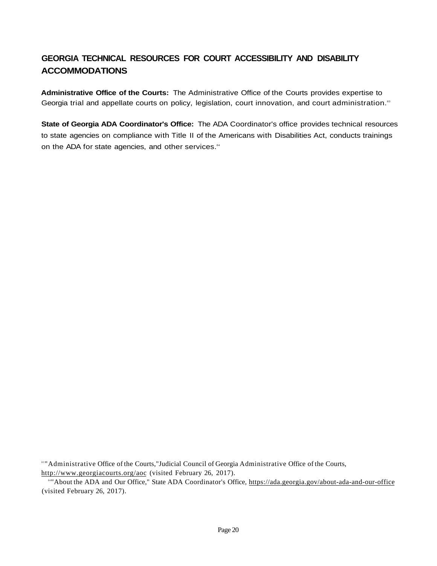## **GEORGIA TECHNICAL RESOURCES FOR COURT ACCESSIBILITY AND DISABILITY ACCOMMODATIONS**

**Administrative Office of the Courts:** The Administrative Office of the Courts provides expertise to Georgia trial and appellate courts on policy, legislation, court innovation, and court administration.<sup>83</sup>

**State of Georgia ADA Coordinator's Office:** The ADA Coordinator's office provides technical resources to state agencies on compliance with Title II of the Americans with Disabilities Act, conducts trainings on the ADA for state agencies, and other services.<sup>84</sup>

<sup>&</sup>lt;sup>83</sup> "Administrative Office of the Courts,"Judicial Council of Georgia Administrative Office of the Courts,

http://www.georgiacourts.org/aoc (visited February 26, 2017).<br><sup>84</sup>"About the ADA and Our Office," State ADA Coordinator's Office, https://ada.georgia.gov/about-ada-and-our-office (visited February 26, 2017).